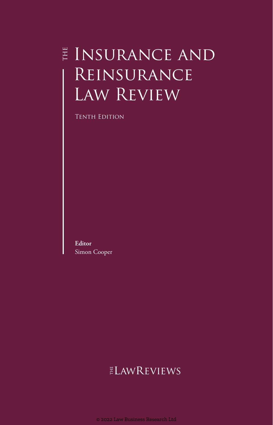# $\sharp$  Insurance and Reinsurance Law Review

Tenth Edition

**Editor** Simon Cooper

# ELAWREVIEWS

© 2022 Law Business Research Ltd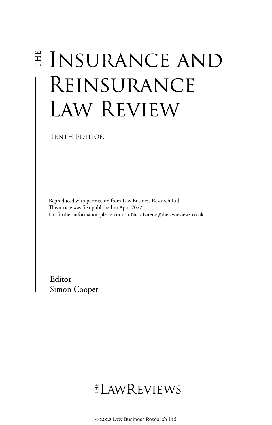# E INSURANCE AND Reinsurance Law Review

Tenth Edition

Reproduced with permission from Law Business Research Ltd This article was first published in April 2022 For further information please contact Nick.Barette@thelawreviews.co.uk

**Editor** Simon Cooper

# $ELMR$  EVIEWS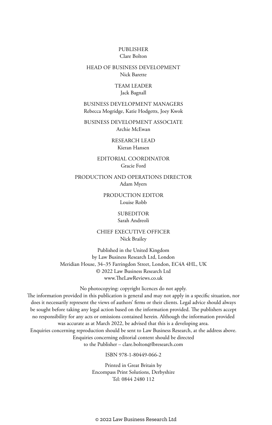#### PUBLISHER Clare Bolton

#### HEAD OF BUSINESS DEVELOPMENT Nick Barette

#### TEAM LEADER Jack Bagnall

BUSINESS DEVELOPMENT MANAGERS Rebecca Mogridge, Katie Hodgetts, Joey Kwok

BUSINESS DEVELOPMENT ASSOCIATE Archie McEwan

> RESEARCH LEAD Kieran Hansen

#### EDITORIAL COORDINATOR Gracie Ford

PRODUCTION AND OPERATIONS DIRECTOR Adam Myers

> PRODUCTION EDITOR Louise Robb

> > **SUBEDITOR** Sarah Andreoli

CHIEF EXECUTIVE OFFICER Nick Brailey

Published in the United Kingdom by Law Business Research Ltd, London Meridian House, 34–35 Farringdon Street, London, EC4A 4HL, UK © 2022 Law Business Research Ltd www.TheLawReviews.co.uk

No photocopying: copyright licences do not apply. The information provided in this publication is general and may not apply in a specific situation, nor does it necessarily represent the views of authors' firms or their clients. Legal advice should always be sought before taking any legal action based on the information provided. The publishers accept no responsibility for any acts or omissions contained herein. Although the information provided was accurate as at March 2022, be advised that this is a developing area. Enquiries concerning reproduction should be sent to Law Business Research, at the address above. Enquiries concerning editorial content should be directed to the Publisher – clare.bolton@lbresearch.com

#### ISBN 978-1-80449-066-2

Printed in Great Britain by Encompass Print Solutions, Derbyshire Tel: 0844 2480 112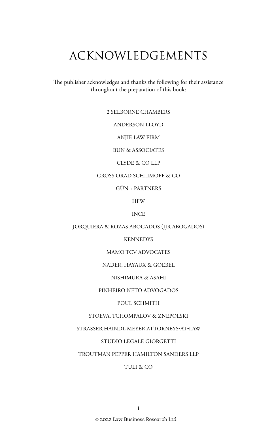# ACKNOWLEDGEMENTS

The publisher acknowledges and thanks the following for their assistance throughout the preparation of this book:

2 SELBORNE CHAMBERS

ANDERSON LLOYD

ANJIE LAW FIRM

BUN & ASSOCIATES

CLYDE & CO LLP

#### GROSS ORAD SCHLIMOFF & CO

GÜN + PARTNERS

HFW

#### INCE

JORQUIERA & ROZAS ABOGADOS (JJR ABOGADOS)

**KENNEDYS** 

MAMO TCV ADVOCATES

NADER, HAYAUX & GOEBEL

NISHIMURA & ASAHI

PINHEIRO NETO ADVOGADOS

#### POUL SCHMITH

#### STOEVA, TCHOMPALOV & ZNEPOLSKI

STRASSER HAINDL MEYER ATTORNEYS-AT-LAW

#### STUDIO LEGALE GIORGETTI

#### TROUTMAN PEPPER HAMILTON SANDERS LLP

TULI & CO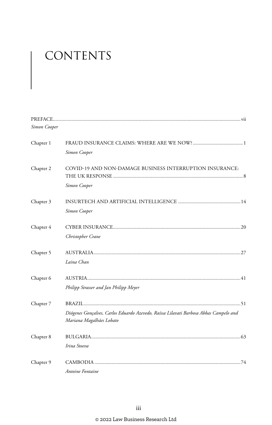# CONTENTS

| Simon Cooper |                                                                                                                   |
|--------------|-------------------------------------------------------------------------------------------------------------------|
| Chapter 1    | Simon Cooper                                                                                                      |
| Chapter 2    | COVID-19 AND NON-DAMAGE BUSINESS INTERRUPTION INSURANCE:<br>Simon Cooper                                          |
| Chapter 3    | Simon Cooper                                                                                                      |
| Chapter 4    | Christopher Crane                                                                                                 |
| Chapter 5    | Laina Chan                                                                                                        |
| Chapter 6    | Philipp Strasser and Jan Philipp Meyer                                                                            |
| Chapter 7    | Diógenes Gonçalves, Carlos Eduardo Azevedo, Raíssa Lilavati Barbosa Abbas Campelo and<br>Mariana Magalhães Lobato |
| Chapter 8    | Irina Stoeva                                                                                                      |
| Chapter 9    | Antoine Fontaine                                                                                                  |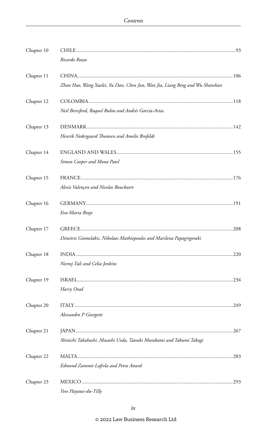| Chapter 10 |                                                                              |  |
|------------|------------------------------------------------------------------------------|--|
|            | Ricardo Rozas                                                                |  |
| Chapter 11 |                                                                              |  |
|            | Zhan Hao, Wang Xuelei, Yu Dan, Chen Jun, Wan Jia, Liang Bing and Wu Shanshan |  |
| Chapter 12 |                                                                              |  |
|            | Neil Beresford, Raquel Rubio and Andrés García-Arias                         |  |
| Chapter 13 |                                                                              |  |
|            | Henrik Nedergaard Thomsen and Amelie Brofeldt                                |  |
| Chapter 14 |                                                                              |  |
|            | Simon Cooper and Mona Patel                                                  |  |
| Chapter 15 |                                                                              |  |
|            | Alexis Valençon and Nicolas Bouckaert                                        |  |
| Chapter 16 |                                                                              |  |
|            | Eva-Maria Braje                                                              |  |
| Chapter 17 |                                                                              |  |
|            | Dimitris Giomelakis, Nikolaos Mathiopoulos and Marilena Papagrigoraki        |  |
| Chapter 18 |                                                                              |  |
|            | Neeraj Tuli and Celia Jenkins                                                |  |
| Chapter 19 |                                                                              |  |
|            | Harry Orad                                                                   |  |
| Chapter 20 |                                                                              |  |
|            | Alessandro P Giorgetti                                                       |  |
| Chapter 21 |                                                                              |  |
|            | Shinichi Takahashi, Masashi Ueda, Tatsuki Murakami and Takumi Takagi         |  |
| Chapter 22 |                                                                              |  |
|            | Edmond Zammit Laferla and Petra Attard                                       |  |
| Chapter 23 |                                                                              |  |
|            | Yves Hayaux-du-Tilly                                                         |  |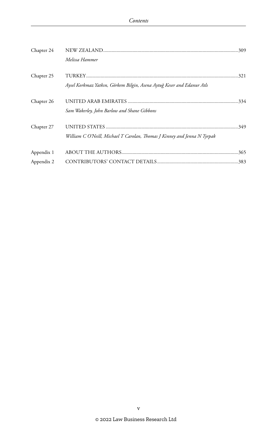| Chapter 24 |                                                                          |  |
|------------|--------------------------------------------------------------------------|--|
|            | Melissa Hammer                                                           |  |
| Chapter 25 | Aysel Korkmaz Yatkın, Görkem Bilgin, Asena Aytuğ Keser and Edanur Atlı   |  |
| Chapter 26 | Sam Wakerley, John Barlow and Shane Gibbons                              |  |
| Chapter 27 | William C O'Neill, Michael T Carolan, Thomas J Kinney and Jenna N Tyrpak |  |
| Appendix 1 |                                                                          |  |
| Appendix 2 |                                                                          |  |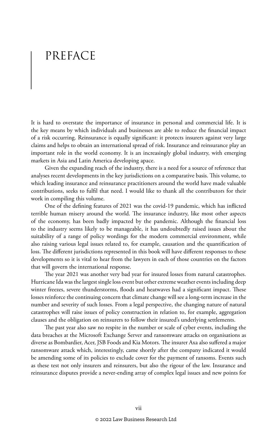## PREFACE

It is hard to overstate the importance of insurance in personal and commercial life. It is the key means by which individuals and businesses are able to reduce the financial impact of a risk occurring. Reinsurance is equally significant: it protects insurers against very large claims and helps to obtain an international spread of risk. Insurance and reinsurance play an important role in the world economy. It is an increasingly global industry, with emerging markets in Asia and Latin America developing apace.

Given the expanding reach of the industry, there is a need for a source of reference that analyses recent developments in the key jurisdictions on a comparative basis. This volume, to which leading insurance and reinsurance practitioners around the world have made valuable contributions, seeks to fulfil that need. I would like to thank all the contributors for their work in compiling this volume.

One of the defining features of 2021 was the covid-19 pandemic, which has inflicted terrible human misery around the world. The insurance industry, like most other aspects of the economy, has been badly impacted by the pandemic. Although the financial loss to the industry seems likely to be manageable, it has undoubtedly raised issues about the suitability of a range of policy wordings for the modern commercial environment, while also raising various legal issues related to, for example, causation and the quantification of loss. The different jurisdictions represented in this book will have different responses to these developments so it is vital to hear from the lawyers in each of those countries on the factors that will govern the international response.

The year 2021 was another very bad year for insured losses from natural catastrophes. Hurricane Ida was the largest single loss event but other extreme weather events including deep winter freezes, severe thunderstorms, floods and heatwaves had a significant impact. These losses reinforce the continuing concern that climate change will see a long-term increase in the number and severity of such losses. From a legal perspective, the changing nature of natural catastrophes will raise issues of policy construction in relation to, for example, aggregation clauses and the obligation on reinsurers to follow their insured's underlying settlements.

The past year also saw no respite in the number or scale of cyber events, including the data breaches at the Microsoft Exchange Server and ransomware attacks on organisations as diverse as Bombardier, Acer, JSB Foods and Kia Motors. The insurer Axa also suffered a major ransomware attack which, interestingly, came shortly after the company indicated it would be amending some of its policies to exclude cover for the payment of ransoms. Events such as these test not only insurers and reinsurers, but also the rigour of the law. Insurance and reinsurance disputes provide a never-ending array of complex legal issues and new points for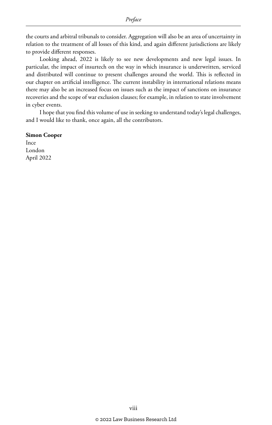the courts and arbitral tribunals to consider. Aggregation will also be an area of uncertainty in relation to the treatment of all losses of this kind, and again different jurisdictions are likely to provide different responses.

Looking ahead, 2022 is likely to see new developments and new legal issues. In particular, the impact of insurtech on the way in which insurance is underwritten, serviced and distributed will continue to present challenges around the world. This is reflected in our chapter on artificial intelligence. The current instability in international relations means there may also be an increased focus on issues such as the impact of sanctions on insurance recoveries and the scope of war exclusion clauses; for example, in relation to state involvement in cyber events.

I hope that you find this volume of use in seeking to understand today's legal challenges, and I would like to thank, once again, all the contributors.

#### **Simon Cooper**

Ince London April 2022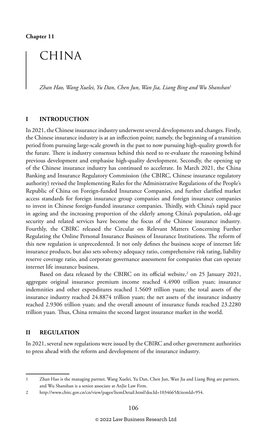### CHINA

*Zhan Hao, Wang Xuelei, Yu Dan, Chen Jun, Wan Jia, Liang Bing and Wu Shanshan*<sup>1</sup>

#### **I INTRODUCTION**

In 2021, the Chinese insurance industry underwent several developments and changes. Firstly, the Chinese insurance industry is at an inflection point; namely, the beginning of a transition period from pursuing large-scale growth in the past to now pursuing high-quality growth for the future. There is industry consensus behind this need to re-evaluate the reasoning behind previous development and emphasise high-quality development. Secondly, the opening up of the Chinese insurance industry has continued to accelerate. In March 2021, the China Banking and Insurance Regulatory Commission (the CBIRC, Chinese insurance regulatory authority) revised the Implementing Rules for the Administrative Regulations of the People's Republic of China on Foreign-funded Insurance Companies, and further clarified market access standards for foreign insurance group companies and foreign insurance companies to invest in Chinese foreign-funded insurance companies. Thirdly, with China's rapid pace in ageing and the increasing proportion of the elderly among China's population, old-age security and related services have become the focus of the Chinese insurance industry. Fourthly, the CBIRC released the Circular on Relevant Matters Concerning Further Regulating the Online Personal Insurance Business of Insurance Institutions. The reform of this new regulation is unprecedented. It not only defines the business scope of internet life insurance products, but also sets solvency adequacy ratio, comprehensive risk rating, liability reserve coverage ratio, and corporate governance assessment for companies that can operate internet life insurance business.

Based on data released by the CBIRC on its official website,<sup>2</sup> on 25 January 2021, aggregate original insurance premium income reached 4.4900 trillion yuan; insurance indemnities and other expenditures reached 1.5609 trillion yuan; the total assets of the insurance industry reached 24.8874 trillion yuan; the net assets of the insurance industry reached 2.9306 trillion yuan; and the overall amount of insurance funds reached 23.2280 trillion yuan. Thus, China remains the second largest insurance market in the world.

#### **II REGULATION**

In 2021, several new regulations were issued by the CBIRC and other government authorities to press ahead with the reform and development of the insurance industry.

<sup>1</sup> Zhan Hao is the managing partner, Wang Xuelei, Yu Dan, Chen Jun, Wan Jia and Liang Bing are partners, and Wu Shanshan is a senior associate at AnJie Law Firm.

<sup>2</sup> http://www.cbirc.gov.cn/cn/view/pages/ItemDetail.html?docId=1034665&itemId=954.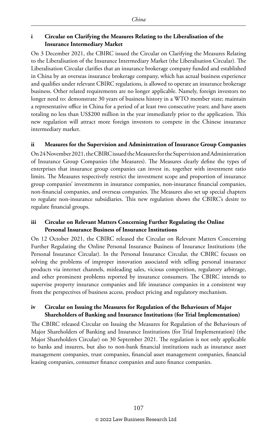#### **i Circular on Clarifying the Measures Relating to the Liberalisation of the Insurance Intermediary Market**

On 3 December 2021, the CBIRC issued the Circular on Clarifying the Measures Relating to the Liberalisation of the Insurance Intermediary Market (the Liberalisation Circular). The Liberalisation Circular clarifies that an insurance brokerage company funded and established in China by an overseas insurance brokerage company, which has actual business experience and qualifies under relevant CBIRC regulations, is allowed to operate an insurance brokerage business. Other related requirements are no longer applicable. Namely, foreign investors no longer need to: demonstrate 30 years of business history in a WTO member state; maintain a representative office in China for a period of at least two consecutive years; and have assets totaling no less than US\$200 million in the year immediately prior to the application. This new regulation will attract more foreign investors to compete in the Chinese insurance intermediary market.

#### **ii Measures for the Supervision and Administration of Insurance Group Companies**

On 24 November 2021, the CBIRC issued the Measures for the Supervision and Administration of Insurance Group Companies (the Measures). The Measures clearly define the types of enterprises that insurance group companies can invest in, together with investment ratio limits. The Measures respectively restrict the investment scope and proportion of insurance group companies' investments in insurance companies, non-insurance financial companies, non-financial companies, and overseas companies. The Measures also set up special chapters to regulate non-insurance subsidiaries. This new regulation shows the CBIRC's desire to regulate financial groups.

#### **iii Circular on Relevant Matters Concerning Further Regulating the Online Personal Insurance Business of Insurance Institutions**

On 12 October 2021, the CBIRC released the Circular on Relevant Matters Concerning Further Regulating the Online Personal Insurance Business of Insurance Institutions (the Personal Insurance Circular). In the Personal Insurance Circular, the CBIRC focuses on solving the problems of improper innovation associated with selling personal insurance products via internet channels, misleading sales, vicious competition, regulatory arbitrage, and other prominent problems reported by insurance consumers. The CBIRC intends to supervise property insurance companies and life insurance companies in a consistent way from the perspectives of business access, product pricing and regulatory mechanism.

#### **iv Circular on Issuing the Measures for Regulation of the Behaviours of Major Shareholders of Banking and Insurance Institutions (for Trial Implementation)**

The CBIRC released Circular on Issuing the Measures for Regulation of the Behaviours of Major Shareholders of Banking and Insurance Institutions (for Trial Implementation) (the Major Shareholders Circular) on 30 September 2021. The regulation is not only applicable to banks and insurers, but also to non-bank financial institutions such as insurance asset management companies, trust companies, financial asset management companies, financial leasing companies, consumer finance companies and auto finance companies.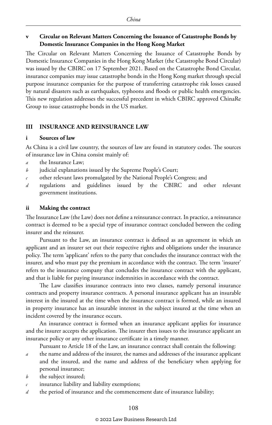#### **v Circular on Relevant Matters Concerning the Issuance of Catastrophe Bonds by Domestic Insurance Companies in the Hong Kong Market**

The Circular on Relevant Matters Concerning the Issuance of Catastrophe Bonds by Domestic Insurance Companies in the Hong Kong Market (the Catastrophe Bond Circular) was issued by the CBIRC on 17 September 2021. Based on the Catastrophe Bond Circular, insurance companies may issue catastrophe bonds in the Hong Kong market through special purpose insurance companies for the purpose of transferring catastrophe risk losses caused by natural disasters such as earthquakes, typhoons and floods or public health emergencies. This new regulation addresses the successful precedent in which CBIRC approved ChinaRe Group to issue catastrophe bonds in the US market.

#### **III INSURANCE AND REINSURANCE LAW**

#### **i Sources of law**

As China is a civil law country, the sources of law are found in statutory codes. The sources of insurance law in China consist mainly of:

- *a* the Insurance Law;
- *b* judicial explanations issued by the Supreme People's Court;
- *c* other relevant laws promulgated by the National People's Congress; and
- *d* regulations and guidelines issued by the CBIRC and other relevant government institutions.

#### **ii Making the contract**

The Insurance Law (the Law) does not define a reinsurance contract. In practice, a reinsurance contract is deemed to be a special type of insurance contract concluded between the ceding insurer and the reinsurer.

Pursuant to the Law, an insurance contract is defined as an agreement in which an applicant and an insurer set out their respective rights and obligations under the insurance policy. The term 'applicant' refers to the party that concludes the insurance contract with the insurer, and who must pay the premium in accordance with the contract. The term 'insurer' refers to the insurance company that concludes the insurance contract with the applicant, and that is liable for paying insurance indemnities in accordance with the contract.

The Law classifies insurance contracts into two classes, namely personal insurance contracts and property insurance contracts. A personal insurance applicant has an insurable interest in the insured at the time when the insurance contract is formed, while an insured in property insurance has an insurable interest in the subject insured at the time when an incident covered by the insurance occurs.

An insurance contract is formed when an insurance applicant applies for insurance and the insurer accepts the application. The insurer then issues to the insurance applicant an insurance policy or any other insurance certificate in a timely manner.

Pursuant to Article 18 of the Law, an insurance contract shall contain the following:

- *a* the name and address of the insurer, the names and addresses of the insurance applicant and the insured, and the name and address of the beneficiary when applying for personal insurance;
- *b* the subject insured;
- *c* insurance liability and liability exemptions;
- *d* the period of insurance and the commencement date of insurance liability;

#### © 2022 Law Business Research Ltd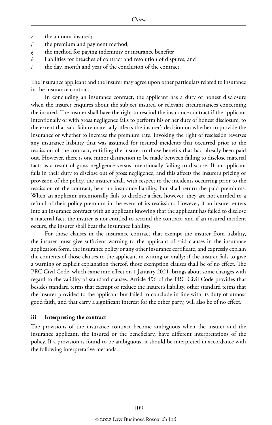- *e* the amount insured;
- *f* the premium and payment method;
- *g* the method for paying indemnity or insurance benefits;
- *h* liabilities for breaches of contract and resolution of disputes; and
- *i* the day, month and year of the conclusion of the contract.

The insurance applicant and the insurer may agree upon other particulars related to insurance in the insurance contract.

In concluding an insurance contract, the applicant has a duty of honest disclosure when the insurer enquires about the subject insured or relevant circumstances concerning the insured. The insurer shall have the right to rescind the insurance contract if the applicant intentionally or with gross negligence fails to perform his or her duty of honest disclosure, to the extent that said failure materially affects the insurer's decision on whether to provide the insurance or whether to increase the premium rate. Invoking the right of rescission reverses any insurance liability that was assumed for insured incidents that occurred prior to the rescission of the contract, entitling the insurer to those benefits that had already been paid out. However, there is one minor distinction to be made between failing to disclose material facts as a result of gross negligence versus intentionally failing to disclose. If an applicant fails in their duty to disclose out of gross negligence, and this affects the insurer's pricing or provision of the policy, the insurer shall, with respect to the incidents occurring prior to the rescission of the contract, bear no insurance liability, but shall return the paid premiums. When an applicant intentionally fails to disclose a fact, however, they are not entitled to a refund of their policy premium in the event of its rescission. However, if an insurer enters into an insurance contract with an applicant knowing that the applicant has failed to disclose a material fact, the insurer is not entitled to rescind the contract, and if an insured incident occurs, the insurer shall bear the insurance liability.

For those clauses in the insurance contract that exempt the insurer from liability, the insurer must give sufficient warning to the applicant of said clauses in the insurance application form, the insurance policy or any other insurance certificate, and expressly explain the contents of those clauses to the applicant in writing or orally; if the insurer fails to give a warning or explicit explanation thereof, those exemption clauses shall be of no effect. The PRC Civil Code, which came into effect on 1 January 2021, brings about some changes with regard to the validity of standard clauses. Article 496 of the PRC Civil Code provides that besides standard terms that exempt or reduce the insurer's liability, other standard terms that the insurer provided to the applicant but failed to conclude in line with its duty of utmost good faith, and that carry a significant interest for the other party, will also be of no effect.

#### **iii Interpreting the contract**

The provisions of the insurance contract become ambiguous when the insurer and the insurance applicant, the insured or the beneficiary, have different interpretations of the policy. If a provision is found to be ambiguous, it should be interpreted in accordance with the following interpretative methods.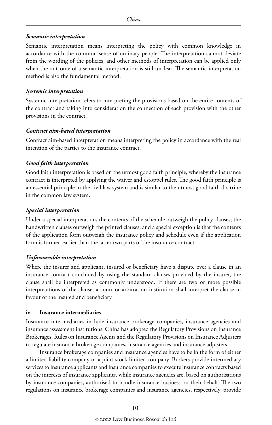#### *Semantic interpretation*

Semantic interpretation means interpreting the policy with common knowledge in accordance with the common sense of ordinary people. The interpretation cannot deviate from the wording of the policies, and other methods of interpretation can be applied only when the outcome of a semantic interpretation is still unclear. The semantic interpretation method is also the fundamental method.

#### *Systemic interpretation*

Systemic interpretation refers to interpreting the provisions based on the entire contents of the contract and taking into consideration the connection of each provision with the other provisions in the contract.

#### *Contract aim-based interpretation*

Contract aim-based interpretation means interpreting the policy in accordance with the real intention of the parties to the insurance contract.

#### *Good faith interpretation*

Good faith interpretation is based on the utmost good faith principle, whereby the insurance contract is interpreted by applying the waiver and estoppel rules. The good faith principle is an essential principle in the civil law system and is similar to the utmost good faith doctrine in the common law system.

#### *Special interpretation*

Under a special interpretation, the contents of the schedule outweigh the policy clauses; the handwritten clauses outweigh the printed clauses; and a special exception is that the contents of the application form outweigh the insurance policy and schedule even if the application form is formed earlier than the latter two parts of the insurance contract.

#### *Unfavourable interpretation*

Where the insurer and applicant, insured or beneficiary have a dispute over a clause in an insurance contract concluded by using the standard clauses provided by the insurer, the clause shall be interpreted as commonly understood. If there are two or more possible interpretations of the clause, a court or arbitration institution shall interpret the clause in favour of the insured and beneficiary.

#### **iv Insurance intermediaries**

Insurance intermediaries include insurance brokerage companies, insurance agencies and insurance assessment institutions. China has adopted the Regulatory Provisions on Insurance Brokerages, Rules on Insurance Agents and the Regulatory Provisions on Insurance Adjusters to regulate insurance brokerage companies, insurance agencies and insurance adjusters.

Insurance brokerage companies and insurance agencies have to be in the form of either a limited liability company or a joint-stock limited company. Brokers provide intermediary services to insurance applicants and insurance companies to execute insurance contracts based on the interests of insurance applicants, while insurance agencies are, based on authorisations by insurance companies, authorised to handle insurance business on their behalf. The two regulations on insurance brokerage companies and insurance agencies, respectively, provide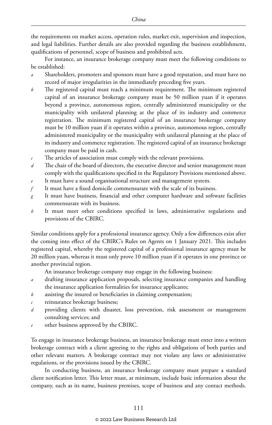the requirements on market access, operation rules, market exit, supervision and inspection, and legal liabilities. Further details are also provided regarding the business establishment, qualifications of personnel, scope of business and prohibited acts.

For instance, an insurance brokerage company must meet the following conditions to be established:

- *a* Shareholders, promoters and sponsors must have a good reputation, and must have no record of major irregularities in the immediately preceding five years.
- *b* The registered capital must reach a minimum requirement. The minimum registered capital of an insurance brokerage company must be 50 million yuan if it operates beyond a province, autonomous region, centrally administered municipality or the municipality with unilateral planning at the place of its industry and commerce registration. The minimum registered capital of an insurance brokerage company must be 10 million yuan if it operates within a province, autonomous region, centrally administered municipality or the municipality with unilateral planning at the place of its industry and commerce registration. The registered capital of an insurance brokerage company must be paid in cash.
- *c* The articles of association must comply with the relevant provisions.
- *d* The chair of the board of directors, the executive director and senior management must comply with the qualifications specified in the Regulatory Provisions mentioned above.
- It must have a sound organisational structure and management system.
- *f* It must have a fixed domicile commensurate with the scale of its business.
- *g* It must have business, financial and other computer hardware and software facilities commensurate with its business.
- *h* It must meet other conditions specified in laws, administrative regulations and provisions of the CBIRC.

Similar conditions apply for a professional insurance agency. Only a few differences exist after the coming into effect of the CBIRC's Rules on Agents on 1 January 2021. This includes registered capital, whereby the registered capital of a professional insurance agency must be 20 million yuan, whereas it must only prove 10 million yuan if it operates in one province or another provincial region.

An insurance brokerage company may engage in the following business:

- *a* drafting insurance application proposals, selecting insurance companies and handling the insurance application formalities for insurance applicants;
- *b* assisting the insured or beneficiaries in claiming compensation;
- *c* reinsurance brokerage business;
- *d* providing clients with disaster, loss prevention, risk assessment or management consulting services; and
- *e* other business approved by the CBIRC.

To engage in insurance brokerage business, an insurance brokerage must enter into a written brokerage contract with a client agreeing to the rights and obligations of both parties and other relevant matters. A brokerage contract may not violate any laws or administrative regulations, or the provisions issued by the CBIRC.

In conducting business, an insurance brokerage company must prepare a standard client notification letter. This letter must, at minimum, include basic information about the company, such as its name, business premises, scope of business and any contact methods.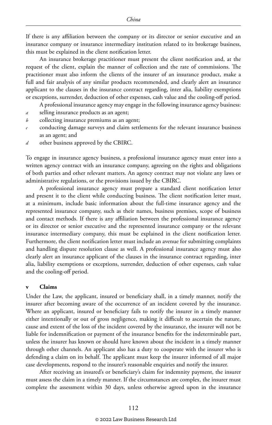If there is any affiliation between the company or its director or senior executive and an insurance company or insurance intermediary institution related to its brokerage business, this must be explained in the client notification letter.

An insurance brokerage practitioner must present the client notification and, at the request of the client, explain the manner of collection and the rate of commissions. The practitioner must also inform the clients of the insurer of an insurance product, make a full and fair analysis of any similar products recommended, and clearly alert an insurance applicant to the clauses in the insurance contract regarding, inter alia, liability exemptions or exceptions, surrender, deduction of other expenses, cash value and the cooling-off period.

A professional insurance agency may engage in the following insurance agency business:

- *a* selling insurance products as an agent;
- *b* collecting insurance premiums as an agent;
- *c* conducting damage surveys and claim settlements for the relevant insurance business as an agent; and
- *d* other business approved by the CBIRC.

To engage in insurance agency business, a professional insurance agency must enter into a written agency contract with an insurance company, agreeing on the rights and obligations of both parties and other relevant matters. An agency contract may not violate any laws or administrative regulations, or the provisions issued by the CBIRC.

A professional insurance agency must prepare a standard client notification letter and present it to the client while conducting business. The client notification letter must, at a minimum, include basic information about the full-time insurance agency and the represented insurance company, such as their names, business premises, scope of business and contact methods. If there is any affiliation between the professional insurance agency or its director or senior executive and the represented insurance company or the relevant insurance intermediary company, this must be explained in the client notification letter. Furthermore, the client notification letter must include an avenue for submitting complaints and handling dispute resolution clause as well. A professional insurance agency must also clearly alert an insurance applicant of the clauses in the insurance contract regarding, inter alia, liability exemptions or exceptions, surrender, deduction of other expenses, cash value and the cooling-off period.

#### **v Claims**

Under the Law, the applicant, insured or beneficiary shall, in a timely manner, notify the insurer after becoming aware of the occurrence of an incident covered by the insurance. Where an applicant, insured or beneficiary fails to notify the insurer in a timely manner either intentionally or out of gross negligence, making it difficult to ascertain the nature, cause and extent of the loss of the incident covered by the insurance, the insurer will not be liable for indemnification or payment of the insurance benefits for the indeterminable part, unless the insurer has known or should have known about the incident in a timely manner through other channels. An applicant also has a duty to cooperate with the insurer who is defending a claim on its behalf. The applicant must keep the insurer informed of all major case developments, respond to the insurer's reasonable enquiries and notify the insurer.

After receiving an insured's or beneficiary's claim for indemnity payment, the insurer must assess the claim in a timely manner. If the circumstances are complex, the insurer must complete the assessment within 30 days, unless otherwise agreed upon in the insurance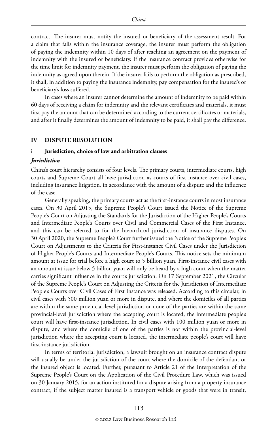contract. The insurer must notify the insured or beneficiary of the assessment result. For a claim that falls within the insurance coverage, the insurer must perform the obligation of paying the indemnity within 10 days of after reaching an agreement on the payment of indemnity with the insured or beneficiary. If the insurance contract provides otherwise for the time limit for indemnity payment, the insurer must perform the obligation of paying the indemnity as agreed upon therein. If the insurer fails to perform the obligation as prescribed, it shall, in addition to paying the insurance indemnity, pay compensation for the insured's or beneficiary's loss suffered.

In cases where an insurer cannot determine the amount of indemnity to be paid within 60 days of receiving a claim for indemnity and the relevant certificates and materials, it must first pay the amount that can be determined according to the current certificates or materials, and after it finally determines the amount of indemnity to be paid, it shall pay the difference.

#### **IV DISPUTE RESOLUTION**

#### **i Jurisdiction, choice of law and arbitration clauses**

#### *Jurisdiction*

China's court hierarchy consists of four levels. The primary courts, intermediate courts, high courts and Supreme Court all have jurisdiction as courts of first instance over civil cases, including insurance litigation, in accordance with the amount of a dispute and the influence of the case.

Generally speaking, the primary courts act as the first-instance courts in most insurance cases. On 30 April 2015, the Supreme People's Court issued the Notice of the Supreme People's Court on Adjusting the Standards for the Jurisdiction of the Higher People's Courts and Intermediate People's Courts over Civil and Commercial Cases of the First Instance, and this can be referred to for the hierarchical jurisdiction of insurance disputes. On 30 April 2020, the Supreme People's Court further issued the Notice of the Supreme People's Court on Adjustments to the Criteria for First-instance Civil Cases under the Jurisdiction of Higher People's Courts and Intermediate People's Courts. This notice sets the minimum amount at issue for trial before a high court to 5 billion yuan. First-instance civil cases with an amount at issue below 5 billion yuan will only be heard by a high court when the matter carries significant influence in the court's jurisdiction. On 17 September 2021, the Circular of the Supreme People's Court on Adjusting the Criteria for the Jurisdiction of Intermediate People's Courts over Civil Cases of First Instance was released. According to this circular, in civil cases with 500 million yuan or more in dispute, and where the domiciles of all parties are within the same provincial-level jurisdiction or none of the parties are within the same provincial-level jurisdiction where the accepting court is located, the intermediate people's court will have first-instance jurisdiction. In civil cases with 100 million yuan or more in dispute, and where the domicile of one of the parties is not within the provincial-level jurisdiction where the accepting court is located, the intermediate people's court will have first-instance jurisdiction.

In terms of territorial jurisdiction, a lawsuit brought on an insurance contract dispute will usually be under the jurisdiction of the court where the domicile of the defendant or the insured object is located. Further, pursuant to Article 21 of the Interpretation of the Supreme People's Court on the Application of the Civil Procedure Law, which was issued on 30 January 2015, for an action instituted for a dispute arising from a property insurance contract, if the subject matter insured is a transport vehicle or goods that were in transit,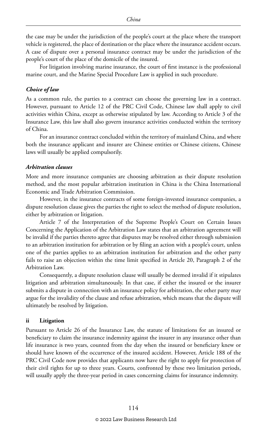the case may be under the jurisdiction of the people's court at the place where the transport vehicle is registered, the place of destination or the place where the insurance accident occurs. A case of dispute over a personal insurance contract may be under the jurisdiction of the people's court of the place of the domicile of the insured.

For litigation involving marine insurance, the court of first instance is the professional marine court, and the Marine Special Procedure Law is applied in such procedure.

#### *Choice of law*

As a common rule, the parties to a contract can choose the governing law in a contract. However, pursuant to Article 12 of the PRC Civil Code, Chinese law shall apply to civil activities within China, except as otherwise stipulated by law. According to Article 3 of the Insurance Law, this law shall also govern insurance activities conducted within the territory of China.

For an insurance contract concluded within the territory of mainland China, and where both the insurance applicant and insurer are Chinese entities or Chinese citizens, Chinese laws will usually be applied compulsorily.

#### *Arbitration clauses*

More and more insurance companies are choosing arbitration as their dispute resolution method, and the most popular arbitration institution in China is the China International Economic and Trade Arbitration Commission.

However, in the insurance contracts of some foreign-invested insurance companies, a dispute resolution clause gives the parties the right to select the method of dispute resolution, either by arbitration or litigation.

Article 7 of the Interpretation of the Supreme People's Court on Certain Issues Concerning the Application of the Arbitration Law states that an arbitration agreement will be invalid if the parties thereto agree that disputes may be resolved either through submission to an arbitration institution for arbitration or by filing an action with a people's court, unless one of the parties applies to an arbitration institution for arbitration and the other party fails to raise an objection within the time limit specified in Article 20, Paragraph 2 of the Arbitration Law.

Consequently, a dispute resolution clause will usually be deemed invalid if it stipulates litigation and arbitration simultaneously. In that case, if either the insured or the insurer submits a dispute in connection with an insurance policy for arbitration, the other party may argue for the invalidity of the clause and refuse arbitration, which means that the dispute will ultimately be resolved by litigation.

#### **ii Litigation**

Pursuant to Article 26 of the Insurance Law, the statute of limitations for an insured or beneficiary to claim the insurance indemnity against the insurer in any insurance other than life insurance is two years, counted from the day when the insured or beneficiary knew or should have known of the occurrence of the insured accident. However, Article 188 of the PRC Civil Code now provides that applicants now have the right to apply for protection of their civil rights for up to three years. Courts, confronted by these two limitation periods, will usually apply the three-year period in cases concerning claims for insurance indemnity.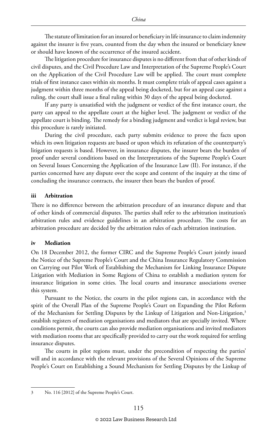The statute of limitation for an insured or beneficiary in life insurance to claim indemnity against the insurer is five years, counted from the day when the insured or beneficiary knew or should have known of the occurrence of the insured accident.

The litigation procedure for insurance disputes is no different from that of other kinds of civil disputes, and the Civil Procedure Law and Interpretation of the Supreme People's Court on the Application of the Civil Procedure Law will be applied. The court must complete trials of first instance cases within six months. It must complete trials of appeal cases against a judgment within three months of the appeal being docketed, but for an appeal case against a ruling, the court shall issue a final ruling within 30 days of the appeal being docketed.

If any party is unsatisfied with the judgment or verdict of the first instance court, the party can appeal to the appellate court at the higher level. The judgment or verdict of the appellate court is binding. The remedy for a binding judgment and verdict is legal review, but this procedure is rarely initiated.

During the civil procedure, each party submits evidence to prove the facts upon which its own litigation requests are based or upon which its refutation of the counterparty's litigation requests is based. However, in insurance disputes, the insurer bears the burden of proof under several conditions based on the Interpretations of the Supreme People's Court on Several Issues Concerning the Application of the Insurance Law (II). For instance, if the parties concerned have any dispute over the scope and content of the inquiry at the time of concluding the insurance contracts, the insurer then bears the burden of proof.

#### **iii Arbitration**

There is no difference between the arbitration procedure of an insurance dispute and that of other kinds of commercial disputes. The parties shall refer to the arbitration institution's arbitration rules and evidence guidelines in an arbitration procedure. The costs for an arbitration procedure are decided by the arbitration rules of each arbitration institution.

#### **iv Mediation**

On 18 December 2012, the former CIRC and the Supreme People's Court jointly issued the Notice of the Supreme People's Court and the China Insurance Regulatory Commission on Carrying out Pilot Work of Establishing the Mechanism for Linking Insurance Dispute Litigation with Mediation in Some Regions of China to establish a mediation system for insurance litigation in some cities. The local courts and insurance associations oversee this system.

Pursuant to the Notice, the courts in the pilot regions can, in accordance with the spirit of the Overall Plan of the Supreme People's Court on Expanding the Pilot Reform of the Mechanism for Settling Disputes by the Linkup of Litigation and Non-Litigation,<sup>3</sup> establish registers of mediation organisations and mediators that are specially invited. Where conditions permit, the courts can also provide mediation organisations and invited mediators with mediation rooms that are specifically provided to carry out the work required for settling insurance disputes.

The courts in pilot regions must, under the precondition of respecting the parties' will and in accordance with the relevant provisions of the Several Opinions of the Supreme People's Court on Establishing a Sound Mechanism for Settling Disputes by the Linkup of

<sup>3</sup> No. 116 [2012] of the Supreme People's Court.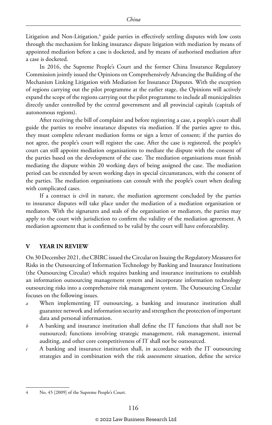Litigation and Non-Litigation,<sup>4</sup> guide parties in effectively settling disputes with low costs through the mechanism for linking insurance dispute litigation with mediation by means of appointed mediation before a case is docketed, and by means of authorised mediation after a case is docketed.

In 2016, the Supreme People's Court and the former China Insurance Regulatory Commission jointly issued the Opinions on Comprehensively Advancing the Building of the Mechanism Linking Litigation with Mediation for Insurance Disputes. With the exception of regions carrying out the pilot programme at the earlier stage, the Opinions will actively expand the scope of the regions carrying out the pilot programme to include all municipalities directly under controlled by the central government and all provincial capitals (capitals of autonomous regions).

After receiving the bill of complaint and before registering a case, a people's court shall guide the parties to resolve insurance disputes via mediation. If the parties agree to this, they must complete relevant mediation forms or sign a letter of consent; if the parties do not agree, the people's court will register the case. After the case is registered, the people's court can still appoint mediation organisations to mediate the dispute with the consent of the parties based on the development of the case. The mediation organisations must finish mediating the dispute within 20 working days of being assigned the case. The mediation period can be extended by seven working days in special circumstances, with the consent of the parties. The mediation organisations can consult with the people's court when dealing with complicated cases.

If a contract is civil in nature, the mediation agreement concluded by the parties to insurance disputes will take place under the mediation of a mediation organisation or mediators. With the signatures and seals of the organisation or mediators, the parties may apply to the court with jurisdiction to confirm the validity of the mediation agreement. A mediation agreement that is confirmed to be valid by the court will have enforceability.

#### **V YEAR IN REVIEW**

On 30 December 2021, the CBIRC issued the Circular on Issuing the Regulatory Measures for Risks in the Outsourcing of Information Technology by Banking and Insurance Institutions (the Outsourcing Circular) which requires banking and insurance institutions to establish an information outsourcing management system and incorporate information technology outsourcing risks into a comprehensive risk management system. The Outsourcing Circular focuses on the following issues.

- *a* When implementing IT outsourcing, a banking and insurance institution shall guarantee network and information security and strengthen the protection of important data and personal information.
- *b* A banking and insurance institution shall define the IT functions that shall not be outsourced; functions involving strategic management, risk management, internal auditing, and other core competitiveness of IT shall not be outsourced.
- *c* A banking and insurance institution shall, in accordance with the IT outsourcing strategies and in combination with the risk assessment situation, define the service

<sup>4</sup> No. 45 [2009] of the Supreme People's Court.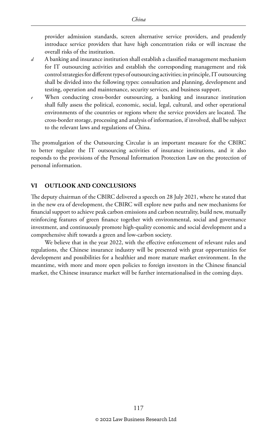provider admission standards, screen alternative service providers, and prudently introduce service providers that have high concentration risks or will increase the overall risks of the institution.

- *d* A banking and insurance institution shall establish a classified management mechanism for IT outsourcing activities and establish the corresponding management and risk control strategies for different types of outsourcing activities; in principle, IT outsourcing shall be divided into the following types: consultation and planning, development and testing, operation and maintenance, security services, and business support.
- *e* When conducting cross-border outsourcing, a banking and insurance institution shall fully assess the political, economic, social, legal, cultural, and other operational environments of the countries or regions where the service providers are located. The cross-border storage, processing and analysis of information, if involved, shall be subject to the relevant laws and regulations of China.

The promulgation of the Outsourcing Circular is an important measure for the CBIRC to better regulate the IT outsourcing activities of insurance institutions, and it also responds to the provisions of the Personal Information Protection Law on the protection of personal information.

#### **VI OUTLOOK AND CONCLUSIONS**

The deputy chairman of the CBIRC delivered a speech on 28 July 2021, where he stated that in the new era of development, the CBIRC will explore new paths and new mechanisms for financial support to achieve peak carbon emissions and carbon neutrality, build new, mutually reinforcing features of green finance together with environmental, social and governance investment, and continuously promote high-quality economic and social development and a comprehensive shift towards a green and low-carbon society.

We believe that in the year 2022, with the effective enforcement of relevant rules and regulations, the Chinese insurance industry will be presented with great opportunities for development and possibilities for a healthier and more mature market environment. In the meantime, with more and more open policies to foreign investors in the Chinese financial market, the Chinese insurance market will be further internationalised in the coming days.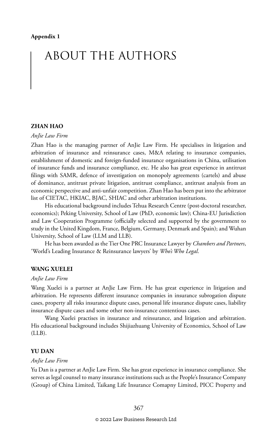## ABOUT THE AUTHORS

#### **ZHAN HAO**

#### *AnJie Law Firm*

Zhan Hao is the managing partner of AnJie Law Firm. He specialises in litigation and arbitration of insurance and reinsurance cases, M&A relating to insurance companies, establishment of domestic and foreign-funded insurance organisations in China, utilisation of insurance funds and insurance compliance, etc. He also has great experience in antitrust filings with SAMR, defence of investigation on monopoly agreements (cartels) and abuse of dominance, antitrust private litigation, antitrust compliance, antitrust analysis from an economic perspective and anti-unfair competition. Zhan Hao has been put into the arbitrator list of CIETAC, HKIAC, BJAC, SHIAC and other arbitration institutions.

His educational background includes Tehua Research Centre (post-doctoral researcher, economics); Peking University, School of Law (PhD, economic law); China-EU Jurisdiction and Law Cooperation Programme (officially selected and supported by the government to study in the United Kingdom, France, Belgium, Germany, Denmark and Spain); and Wuhan University, School of Law (LLM and LLB).

He has been awarded as the Tier One PRC Insurance Lawyer by *Chambers and Partners*, 'World's Leading Insurance & Reinsurance lawyers' by *Who's Who Legal*.

#### **WANG XUELEI**

#### *AnJie Law Firm*

Wang Xuelei is a partner at AnJie Law Firm. He has great experience in litigation and arbitration. He represents different insurance companies in insurance subrogation dispute cases, property all risks insurance dispute cases, personal life insurance dispute cases, liability insurance dispute cases and some other non-insurance contentious cases.

Wang Xuelei practises in insurance and reinsurance, and litigation and arbitration. His educational background includes Shijiazhuang University of Economics, School of Law  $(LLB).$ 

#### **YU DAN**

#### *AnJie Law Firm*

Yu Dan is a partner at AnJie Law Firm. She has great experience in insurance compliance. She serves as legal counsel to many insurance institutions such as the People's Insurance Company (Group) of China Limited, Taikang Life Insurance Comapny Limited, PICC Property and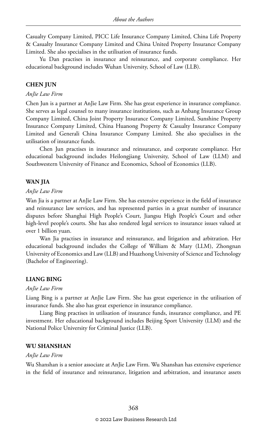Casualty Company Limited, PICC Life Insurance Company Limited, China Life Property & Casualty Insurance Company Limited and China United Property Insurance Company Limited. She also specialises in the utilisation of insurance funds.

Yu Dan practises in insurance and reinsurance, and corporate compliance. Her educational background includes Wuhan University, School of Law (LLB).

#### **CHEN JUN**

#### *AnJie Law Firm*

Chen Jun is a partner at AnJie Law Firm. She has great experience in insurance compliance. She serves as legal counsel to many insurance institutions, such as Anbang Insurance Group Company Limited, China Joint Property Insurance Company Limited, Sunshine Property Insurance Company Limited, China Huanong Property & Casualty Insurance Company Limited and Generali China Insurance Company Limited. She also specialises in the utilisation of insurance funds.

Chen Jun practises in insurance and reinsurance, and corporate compliance. Her educational background includes Heilongjiang University, School of Law (LLM) and Southwestern University of Finance and Economics, School of Economics (LLB).

#### **WAN JIA**

#### *AnJie Law Firm*

Wan Jia is a partner at AnJie Law Firm. She has extensive experience in the field of insurance and reinsurance law services, and has represented parties in a great number of insurance disputes before Shanghai High People's Court, Jiangsu High People's Court and other high-level people's courts. She has also rendered legal services to insurance issues valued at over 1 billion yuan.

Wan Jia practises in insurance and reinsurance, and litigation and arbitration. Her educational background includes the College of William & Mary (LLM), Zhongnan University of Economics and Law (LLB) and Huazhong University of Science and Technology (Bachelor of Engineering).

#### **LIANG BING**

#### *AnJie Law Firm*

Liang Bing is a partner at AnJie Law Firm. She has great experience in the utilisation of insurance funds. She also has great experience in insurance compliance.

Liang Bing practises in utilisation of insurance funds, insurance compliance, and PE investment. Her educational background includes Beijing Sport University (LLM) and the National Police University for Criminal Justice (LLB).

#### **WU SHANSHAN**

#### *AnJie Law Firm*

Wu Shanshan is a senior associate at AnJie Law Firm. Wu Shanshan has extensive experience in the field of insurance and reinsurance, litigation and arbitration, and insurance assets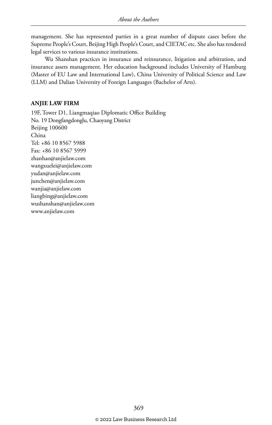management. She has represented parties in a great number of dispute cases before the Supreme People's Court, Beijing High People's Court, and CIETAC etc. She also has rendered legal services to various insurance institutions.

Wu Shanshan practices in insurance and reinsurance, litigation and arbitration, and insurance assets management. Her education background includes University of Hamburg (Master of EU Law and International Law), China University of Political Science and Law (LLM) and Dalian University of Foreign Languages (Bachelor of Arts).

#### **ANJIE LAW FIRM**

19F, Tower D1, Liangmaqiao Diplomatic Office Building No. 19 Dongfangdonglu, Chaoyang District Beijing 100600 China Tel: +86 10 8567 5988 Fax: +86 10 8567 5999 zhanhao@anjielaw.com wangxuelei@anjielaw.com yudan@anjielaw.com junchen@anjielaw.com wanjia@anjielaw.com liangbing@anjielaw.com wushanshan@anjielaw.com www.anjielaw.com